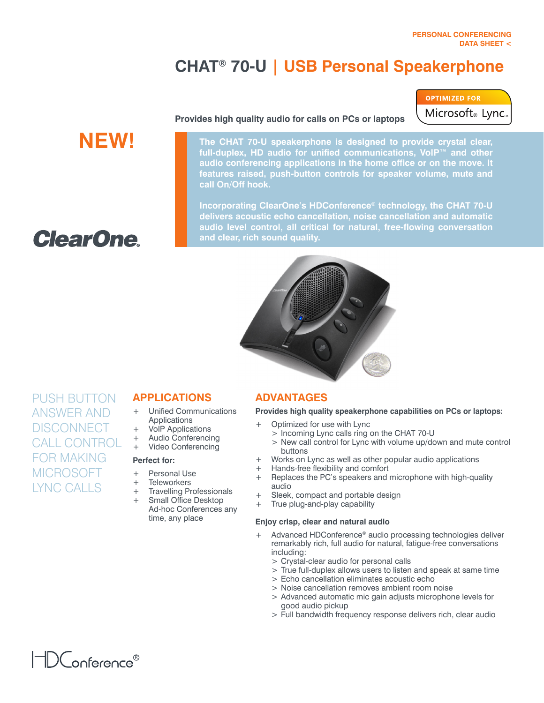Microsoft® Lync

**OPTIMIZED FOR** 

# **CHAT® 70-U | USB Personal Speakerphone**

# **NEW!**

### **Provides high quality audio for calls on PCs or laptops**

**The CHAT 70-U speakerphone is designed to provide crystal clear, full-duplex, HD audio for unified communications, VoIP™ and other audio conferencing applications in the home office or on the move. It features raised, push-button controls for speaker volume, mute and call On/Off hook.**

**Incorporating ClearOne's HDConference® technology, the CHAT 70-U delivers acoustic echo cancellation, noise cancellation and automatic audio level control, all critical for natural, free-flowing conversation and clear, rich sound quality.**

**ClearOne** 

PUSH BUTTON Answer and **DISCONNECT** Call Control FOR MAKING **MICROSOFT** Lync CALLS

# **Applications**

- + Unified Communications Applications
- + VoIP Applications
- + Audio Conferencing
	- + Video Conferencing

### **Perfect for:**

- + Personal Use
- + Teleworkers
- + Travelling Professionals
- Small Office Desktop Ad-hoc Conferences any time, any place

## **Advantages**

### **Provides high quality speakerphone capabilities on PCs or laptops:**

- Optimized for use with Lync
	- > Incoming Lync calls ring on the CHAT 70-U
	- > New call control for Lync with volume up/down and mute control buttons
- + Works on Lync as well as other popular audio applications
- 
- + Hands-free flexibility and comfort<br>+ Replaces the PC's speakers and Replaces the PC's speakers and microphone with high-quality audio
- + Sleek, compact and portable design
- True plug-and-play capability

### **Enjoy crisp, clear and natural audio**

- + Advanced HDConference® audio processing technologies deliver remarkably rich, full audio for natural, fatigue-free conversations including:
	- > Crystal-clear audio for personal calls
	- > True full-duplex allows users to listen and speak at same time
	- > Echo cancellation eliminates acoustic echo
	- > Noise cancellation removes ambient room noise
	- > Advanced automatic mic gain adjusts microphone levels for good audio pickup
	- > Full bandwidth frequency response delivers rich, clear audio